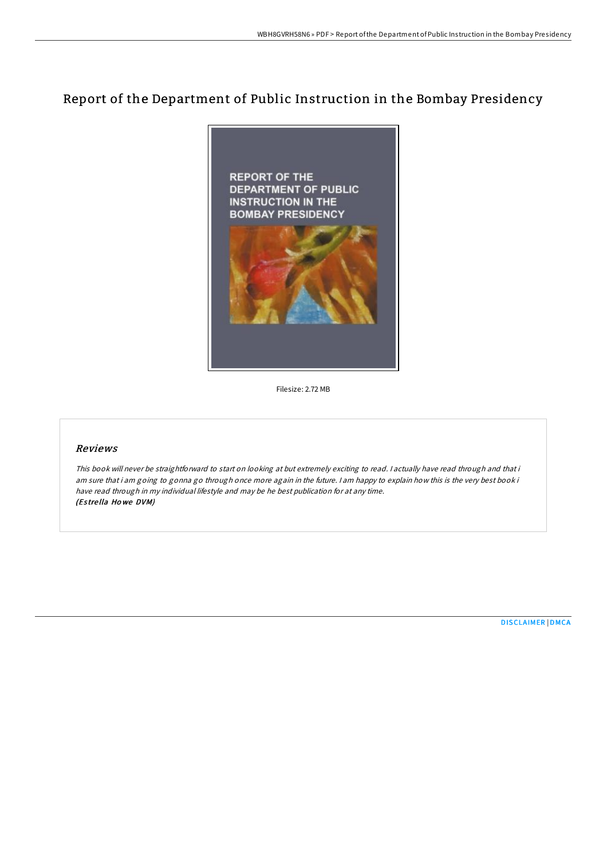# Report of the Department of Public Instruction in the Bombay Presidency



Filesize: 2.72 MB

### Reviews

This book will never be straightforward to start on looking at but extremely exciting to read. <sup>I</sup> actually have read through and that i am sure that i am going to gonna go through once more again in the future. <sup>I</sup> am happy to explain how this is the very best book i have read through in my individual lifestyle and may be he best publication for at any time. (Es tre lla Ho we DVM)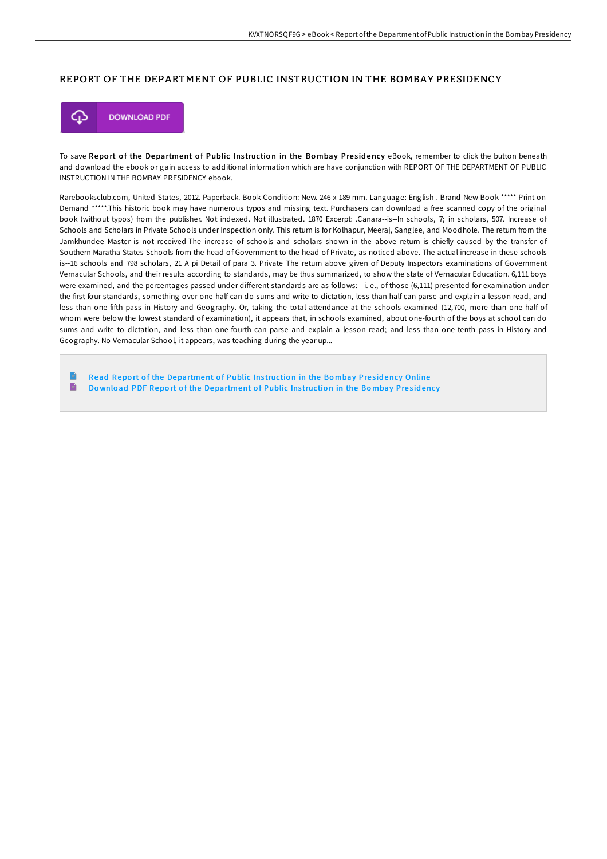#### REPORT OF THE DEPARTMENT OF PUBLIC INSTRUCTION IN THE BOMBAY PRESIDENCY



To save Report of the Department of Public Instruction in the Bombay Presidency eBook, remember to click the button beneath and download the ebook or gain access to additional information which are have conjunction with REPORT OF THE DEPARTMENT OF PUBLIC INSTRUCTION IN THE BOMBAY PRESIDENCY ebook.

Rarebooksclub.com, United States, 2012. Paperback. Book Condition: New. 246 x 189 mm. Language: English . Brand New Book \*\*\*\*\* Print on Demand \*\*\*\*\*.This historic book may have numerous typos and missing text. Purchasers can download a free scanned copy of the original book (without typos) from the publisher. Not indexed. Not illustrated. 1870 Excerpt: .Canara--is--In schools, 7; in scholars, 507. Increase of Schools and Scholars in Private Schools under Inspection only. This return is for Kolhapur, Meeraj, Sanglee, and Moodhole. The return from the Jamkhundee Master is not received-The increase of schools and scholars shown in the above return is chiefly caused by the transfer of Southern Maratha States Schools from the head of Government to the head of Private, as noticed above. The actual increase in these schools is--16 schools and 798 scholars, 21 A pi Detail of para 3. Private The return above given of Deputy Inspectors examinations of Government Vernacular Schools, and their results according to standards, may be thus summarized, to show the state of Vernacular Education. 6,111 boys were examined, and the percentages passed under different standards are as follows: --i. e., of those (6,111) presented for examination under the first four standards, something over one-half can do sums and write to dictation, less than half can parse and explain a lesson read, and less than one-fifth pass in History and Geography. Or, taking the total attendance at the schools examined (12,700, more than one-half of whom were below the lowest standard of examination), it appears that, in schools examined, about one-fourth of the boys at school can do sums and write to dictation, and less than one-fourth can parse and explain a lesson read; and less than one-tenth pass in History and Geography. No Vernacular School, it appears, was teaching during the year up...

Read Report of the [Department](http://almighty24.tech/report-of-the-department-of-public-instruction-i.html) of Public Instruction in the Bombay Presidency Online  $\blacksquare$ Download PDF Report of the [Department](http://almighty24.tech/report-of-the-department-of-public-instruction-i.html) of Public Instruction in the Bombay Presidency